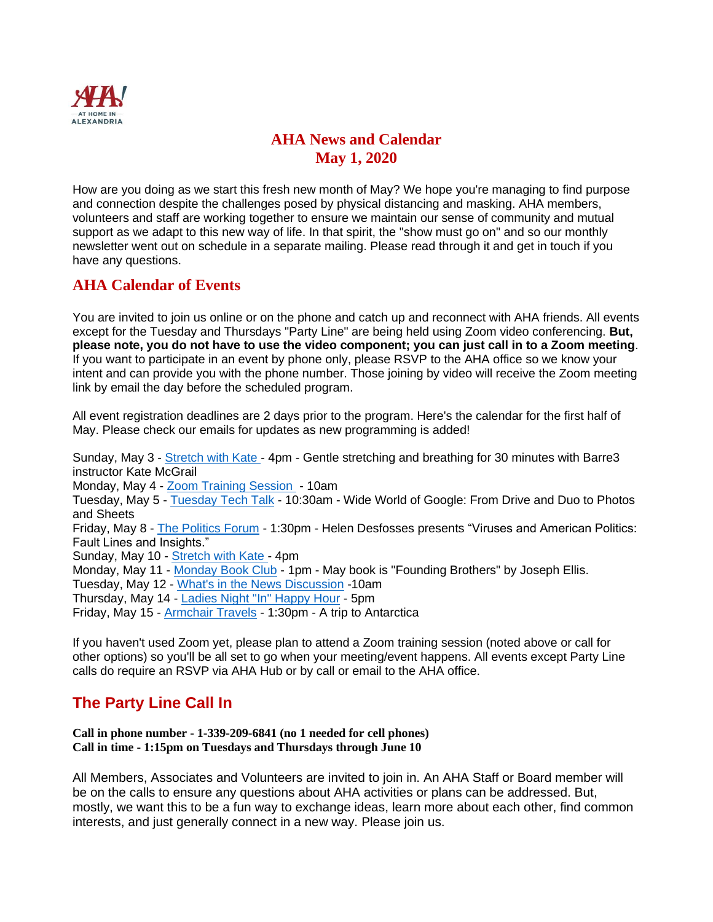

# **AHA News and Calendar May 1, 2020**

How are you doing as we start this fresh new month of May? We hope you're managing to find purpose and connection despite the challenges posed by physical distancing and masking. AHA members, volunteers and staff are working together to ensure we maintain our sense of community and mutual support as we adapt to this new way of life. In that spirit, the "show must go on" and so our monthly newsletter went out on schedule in a separate mailing. Please read through it and get in touch if you have any questions.

## **AHA Calendar of Events**

You are invited to join us online or on the phone and catch up and reconnect with AHA friends. All events except for the Tuesday and Thursdays "Party Line" are being held using Zoom video conferencing. **But, please note, you do not have to use the video component; you can just call in to a Zoom meeting**. If you want to participate in an event by phone only, please RSVP to the AHA office so we know your intent and can provide you with the phone number. Those joining by video will receive the Zoom meeting link by email the day before the scheduled program.

All event registration deadlines are 2 days prior to the program. Here's the calendar for the first half of May. Please check our emails for updates as new programming is added!

Sunday, May 3 - [Stretch with Kate -](https://athomeinalexandria.org/events/stretch-and-breathe-with-kate/) 4pm - Gentle stretching and breathing for 30 minutes with Barre3 instructor Kate McGrail Monday, May 4 - [Zoom Training Session](https://aha.clubexpress.com/content.aspx?page_id=4002&club_id=251265&item_id=1208427) - 10am Tuesday, May 5 - [Tuesday Tech Talk](https://athomeinalexandria.org/events/tuesday-tech-talk-the-wide-world-of-google/) - 10:30am - Wide World of Google: From Drive and Duo to Photos and Sheets Friday, May 8 - [The Politics Forum](https://athomeinalexandria.org/events/the-politics-forum-7/) - 1:30pm - Helen Desfosses presents "Viruses and American Politics: Fault Lines and Insights." Sunday, May 10 - [Stretch with Kate -](https://athomeinalexandria.org/events/stretch-and-breathe-with-kate-2/) 4pm Monday, May 11 - [Monday Book Club](https://athomeinalexandria.org/events/the-monday-book-club-12/) - 1pm - May book is "Founding Brothers" by Joseph Ellis. Tuesday, May 12 - [What's in the News Discussion](https://athomeinalexandria.org/events/whats-in-the-news-discussion/) -10am Thursday, May 14 - [Ladies Night "In" Happy Hour](https://athomeinalexandria.org/events/ladies-night-in-happy-hour/) - 5pm Friday, May 15 - [Armchair Travels](https://athomeinalexandria.org/events/aha-armchair-travels-antarctica/) - 1:30pm - A trip to Antarctica

If you haven't used Zoom yet, please plan to attend a Zoom training session (noted above or call for other options) so you'll be all set to go when your meeting/event happens. All events except Party Line calls do require an RSVP via AHA Hub or by call or email to the AHA office.

# **The Party Line Call In**

**Call in phone number - 1-339-209-6841 (no 1 needed for cell phones) Call in time - 1:15pm on Tuesdays and Thursdays through June 10**

All Members, Associates and Volunteers are invited to join in. An AHA Staff or Board member will be on the calls to ensure any questions about AHA activities or plans can be addressed. But, mostly, we want this to be a fun way to exchange ideas, learn more about each other, find common interests, and just generally connect in a new way. Please join us.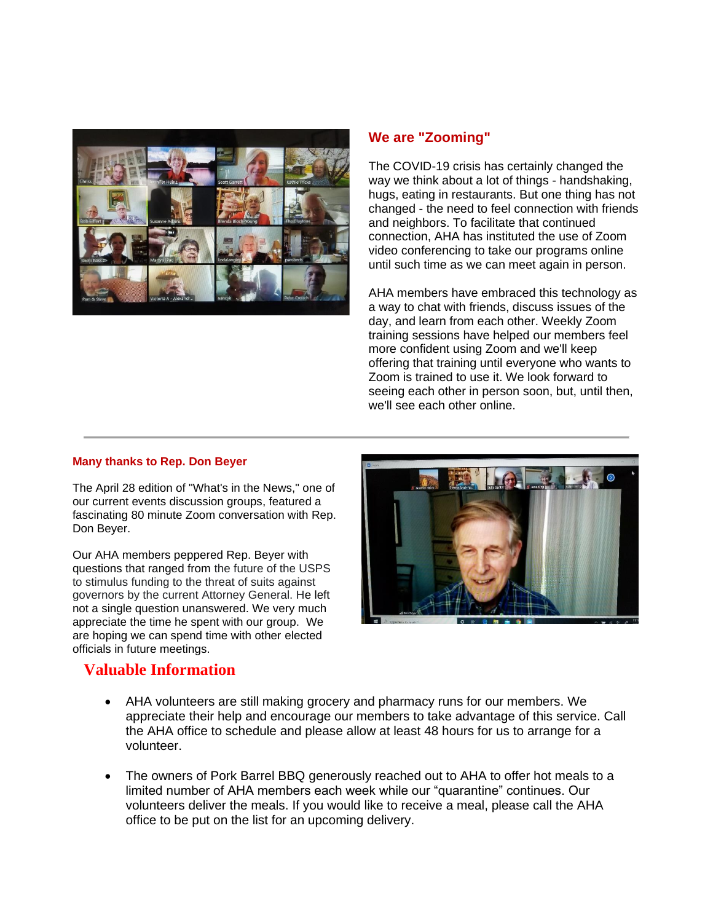

### **We are "Zooming"**

The COVID-19 crisis has certainly changed the way we think about a lot of things - handshaking, hugs, eating in restaurants. But one thing has not changed - the need to feel connection with friends and neighbors. To facilitate that continued connection, AHA has instituted the use of Zoom video conferencing to take our programs online until such time as we can meet again in person.

AHA members have embraced this technology as a way to chat with friends, discuss issues of the day, and learn from each other. Weekly Zoom training sessions have helped our members feel more confident using Zoom and we'll keep offering that training until everyone who wants to Zoom is trained to use it. We look forward to seeing each other in person soon, but, until then, we'll see each other online.

#### **Many thanks to Rep. Don Beyer**

The April 28 edition of "What's in the News," one of our current events discussion groups, featured a fascinating 80 minute Zoom conversation with Rep. Don Beyer.

Our AHA members peppered Rep. Beyer with questions that ranged from the future of the USPS to stimulus funding to the threat of suits against governors by the current Attorney General. He left not a single question unanswered. We very much appreciate the time he spent with our group. We are hoping we can spend time with other elected officials in future meetings.



## **Valuable Information**

- AHA volunteers are still making grocery and pharmacy runs for our members. We appreciate their help and encourage our members to take advantage of this service. Call the AHA office to schedule and please allow at least 48 hours for us to arrange for a volunteer.
- The owners of Pork Barrel BBQ generously reached out to AHA to offer hot meals to a limited number of AHA members each week while our "quarantine" continues. Our volunteers deliver the meals. If you would like to receive a meal, please call the AHA office to be put on the list for an upcoming delivery.